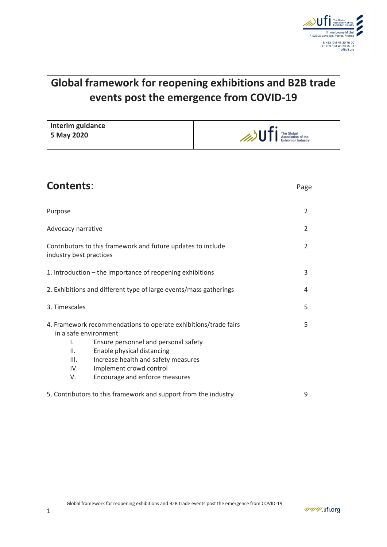

# **Global framework for reopening exhibitions and B2B trade events post the emergence from COVID-19**

**Interim guidance 5 May 2020**



| <b>Contents:</b>                                                                                                                                                                                                                                                                                    | Page          |
|-----------------------------------------------------------------------------------------------------------------------------------------------------------------------------------------------------------------------------------------------------------------------------------------------------|---------------|
| Purpose                                                                                                                                                                                                                                                                                             | 2             |
| Advocacy narrative                                                                                                                                                                                                                                                                                  | $\mathcal{P}$ |
| Contributors to this framework and future updates to include<br>industry best practices                                                                                                                                                                                                             | $\mathcal{P}$ |
| 1. Introduction – the importance of reopening exhibitions                                                                                                                                                                                                                                           | 3             |
| 2. Exhibitions and different type of large events/mass gatherings                                                                                                                                                                                                                                   | 4             |
| 3. Timescales                                                                                                                                                                                                                                                                                       | 5             |
| 4. Framework recommendations to operate exhibitions/trade fairs<br>in a safe environment<br>Ensure personnel and personal safety<br>I.<br>Enable physical distancing<br>Ш.<br>III.<br>Increase health and safety measures<br>Implement crowd control<br>IV.<br>Encourage and enforce measures<br>V. | 5             |
| 5. Contributors to this framework and support from the industry                                                                                                                                                                                                                                     | 9             |

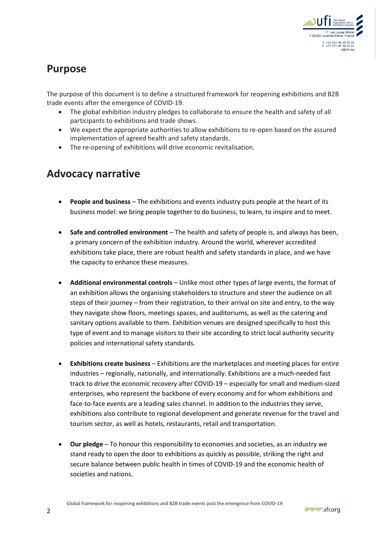

# **Purpose**

The purpose of this document is to define a structured framework for reopening exhibitions and B2B trade events after the emergence of COVID-19.

- The global exhibition industry pledges to collaborate to ensure the health and safety of all participants to exhibitions and trade shows.
- We expect the appropriate authorities to allow exhibitions to re-open based on the assured implementation of agreed health and safety standards.
- The re-opening of exhibitions will drive economic revitalisation.

### **Advocacy narrative**

- **People and business** The exhibitions and events industry puts people at the heart of its business model: we bring people together to do business, to learn, to inspire and to meet.
- **Safe and controlled environment** The health and safety of people is, and always has been, a primary concern of the exhibition industry. Around the world, wherever accredited exhibitions take place, there are robust health and safety standards in place, and we have the capacity to enhance these measures.
- **Additional environmental controls** Unlike most other types of large events, the format of an exhibition allows the organising stakeholders to structure and steer the audience on all steps of their journey – from their registration, to their arrival on site and entry, to the way they navigate show floors, meetings spaces, and auditoriums, as well as the catering and sanitary options available to them. Exhibition venues are designed specifically to host this type of event and to manage visitors to their site according to strict local authority security policies and international safety standards.
- **Exhibitions create business** Exhibitions are the marketplaces and meeting places for entire industries – regionally, nationally, and internationally. Exhibitions are a much-needed fast track to drive the economic recovery after COVID-19 – especially for small and medium-sized enterprises, who represent the backbone of every economy and for whom exhibitions and face-to-face events are a leading sales channel. In addition to the industries they serve, exhibitions also contribute to regional development and generate revenue for the travel and tourism sector, as well as hotels, restaurants, retail and transportation.
- **Our pledge** To honour this responsibility to economies and societies, as an industry we stand ready to open the door to exhibitions as quickly as possible, striking the right and secure balance between public health in times of COVID-19 and the economic health of societies and nations.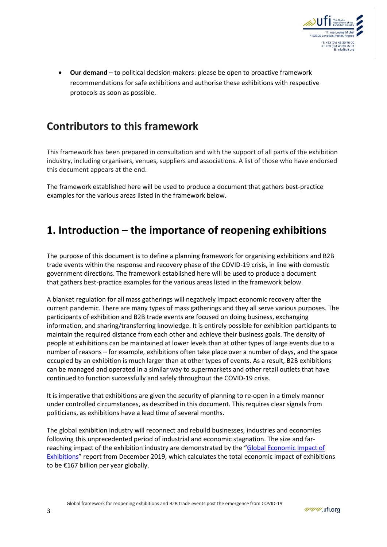

• **Our demand** – to political decision-makers: please be open to proactive framework recommendations for safe exhibitions and authorise these exhibitions with respective protocols as soon as possible.

# **Contributors to this framework**

This framework has been prepared in consultation and with the support of all parts of the exhibition industry, including organisers, venues, suppliers and associations. A list of those who have endorsed this document appears at the end.

The framework established here will be used to produce a document that gathers best-practice examples for the various areas listed in the framework below.

# **1. Introduction – the importance of reopening exhibitions**

The purpose of this document is to define a planning framework for organising exhibitions and B2B trade events within the response and recovery phase of the COVID-19 crisis, in line with domestic government directions. The framework established here will be used to produce a document that gathers best-practice examples for the various areas listed in the framework below.

A blanket regulation for all mass gatherings will negatively impact economic recovery after the current pandemic. There are many types of mass gatherings and they all serve various purposes. The participants of exhibition and B2B trade events are focused on doing business, exchanging information, and sharing/transferring knowledge. It is entirely possible for exhibition participants to maintain the required distance from each other and achieve their business goals. The density of people at exhibitions can be maintained at lower levels than at other types of large events due to a number of reasons – for example, exhibitions often take place over a number of days, and the space occupied by an exhibition is much larger than at other types of events. As a result, B2B exhibitions can be managed and operated in a similar way to supermarkets and other retail outlets that have continued to function successfully and safely throughout the COVID-19 crisis.

It is imperative that exhibitions are given the security of planning to re-open in a timely manner under controlled circumstances, as described in this document. This requires clear signals from politicians, as exhibitions have a lead time of several months.

The global exhibition industry will reconnect and rebuild businesses, industries and economies following this unprecedented period of industrial and economic stagnation. The size and farreaching impact of the exhibition industry are demonstrated by the "[Global Economic Impact of](https://www.ufi.org/industry-resources/research/global-reports/economic-impact-studies/)  [Exhibitions](https://www.ufi.org/industry-resources/research/global-reports/economic-impact-studies/)" report from December 2019, which calculates the total economic impact of exhibitions to be €167 billion per year globally.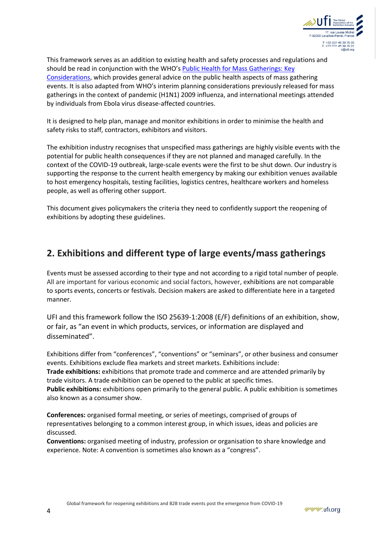

This framework serves as an addition to existing health and safety processes and regulations and should be read in conjunction with the WHO's [Public Health for Mass Gatherings: Key](https://www.ufi.org/wp-content/uploads/2020/02/WHO_COVID-19_Key_Planning_Recommendations.pdf)  [Considerations,](https://www.ufi.org/wp-content/uploads/2020/02/WHO_COVID-19_Key_Planning_Recommendations.pdf) which provides general advice on the public health aspects of mass gathering events. It is also adapted from WHO's interim planning considerations previously released for mass gatherings in the context of pandemic (H1N1) 2009 influenza, and international meetings attended by individuals from Ebola virus disease-affected countries.

It is designed to help plan, manage and monitor exhibitions in order to minimise the health and safety risks to staff, contractors, exhibitors and visitors.

The exhibition industry recognises that unspecified mass gatherings are highly visible events with the potential for public health consequences if they are not planned and managed carefully. In the context of the COVID-19 outbreak, large-scale events were the first to be shut down. Our industry is supporting the response to the current health emergency by making our exhibition venues available to host emergency hospitals, testing facilities, logistics centres, healthcare workers and homeless people, as well as offering other support.

This document gives policymakers the criteria they need to confidently support the reopening of exhibitions by adopting these guidelines.

### **2. Exhibitions and different type of large events/mass gatherings**

Events must be assessed according to their type and not according to a rigid total number of people. All are important for various economic and social factors, however, exhibitions are not comparable to sports events, concerts or festivals. Decision makers are asked to differentiate here in a targeted manner.

UFI and this framework follow the ISO 25639-1:2008 (E/F) definitions of an exhibition, show, or fair, as "an event in which products, services, or information are displayed and disseminated".

Exhibitions differ from "conferences", "conventions" or "seminars", or other business and consumer events. Exhibitions exclude flea markets and street markets. Exhibitions include: **Trade exhibitions:** exhibitions that promote trade and commerce and are attended primarily by trade visitors. A trade exhibition can be opened to the public at specific times. **Public exhibitions:** exhibitions open primarily to the general public. A public exhibition is sometimes also known as a consumer show.

**Conferences:** organised formal meeting, or series of meetings, comprised of groups of representatives belonging to a common interest group, in which issues, ideas and policies are discussed.

**Conventions:** organised meeting of industry, profession or organisation to share knowledge and experience. Note: A convention is sometimes also known as a "congress".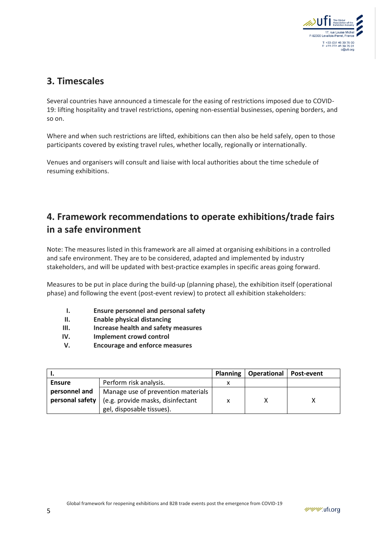

### **3. Timescales**

Several countries have announced a timescale for the easing of restrictions imposed due to COVID-19: lifting hospitality and travel restrictions, opening non-essential businesses, opening borders, and so on.

Where and when such restrictions are lifted, exhibitions can then also be held safely, open to those participants covered by existing travel rules, whether locally, regionally or internationally.

Venues and organisers will consult and liaise with local authorities about the time schedule of resuming exhibitions.

### **4. Framework recommendations to operate exhibitions/trade fairs in a safe environment**

Note: The measures listed in this framework are all aimed at organising exhibitions in a controlled and safe environment. They are to be considered, adapted and implemented by industry stakeholders, and will be updated with best-practice examples in specific areas going forward.

Measures to be put in place during the build-up (planning phase), the exhibition itself (operational phase) and following the event (post-event review) to protect all exhibition stakeholders:

- **I. Ensure personnel and personal safety**
- **II. Enable physical distancing**
- **III. Increase health and safety measures**
- **IV. Implement crowd control**
- **V. Encourage and enforce measures**

|               |                                                                                                    |   | Planning   Operational   Post-event |  |
|---------------|----------------------------------------------------------------------------------------------------|---|-------------------------------------|--|
| <b>Ensure</b> | Perform risk analysis.                                                                             |   |                                     |  |
| personnel and | Manage use of prevention materials<br><b>personal safety</b> $ $ (e.g. provide masks, disinfectant | x |                                     |  |
|               | gel, disposable tissues).                                                                          |   |                                     |  |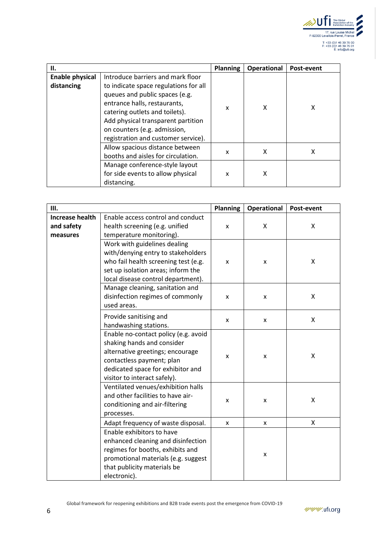

| Н.                     |                                       | <b>Planning</b> | <b>Operational</b> | Post-event |
|------------------------|---------------------------------------|-----------------|--------------------|------------|
| <b>Enable physical</b> | Introduce barriers and mark floor     |                 |                    |            |
| distancing             | to indicate space regulations for all |                 | x                  | x          |
|                        | queues and public spaces (e.g.        |                 |                    |            |
|                        | entrance halls, restaurants,          |                 |                    |            |
|                        | catering outlets and toilets).        | x               |                    |            |
|                        | Add physical transparent partition    |                 |                    |            |
|                        | on counters (e.g. admission,          |                 |                    |            |
|                        | registration and customer service).   |                 |                    |            |
|                        | Allow spacious distance between       | x               | x                  | х          |
|                        | booths and aisles for circulation.    |                 |                    |            |
|                        | Manage conference-style layout        |                 |                    |            |
|                        | for side events to allow physical     | x               | x                  |            |
|                        | distancing.                           |                 |                    |            |

| Ш.                                               |                                                                                                                                                                                                          | <b>Planning</b>    | <b>Operational</b> | Post-event |
|--------------------------------------------------|----------------------------------------------------------------------------------------------------------------------------------------------------------------------------------------------------------|--------------------|--------------------|------------|
| <b>Increase health</b><br>and safety<br>measures | Enable access control and conduct<br>health screening (e.g. unified<br>temperature monitoring).                                                                                                          | X                  | X                  | Χ          |
|                                                  | Work with guidelines dealing<br>with/denying entry to stakeholders<br>who fail health screening test (e.g.<br>set up isolation areas; inform the<br>local disease control department).                   | x                  | X                  | X          |
|                                                  | Manage cleaning, sanitation and<br>disinfection regimes of commonly<br>used areas.                                                                                                                       | $\pmb{\mathsf{x}}$ | X                  | X          |
|                                                  | Provide sanitising and<br>handwashing stations.                                                                                                                                                          | x                  | X                  | X          |
|                                                  | Enable no-contact policy (e.g. avoid<br>shaking hands and consider<br>alternative greetings; encourage<br>contactless payment; plan<br>dedicated space for exhibitor and<br>visitor to interact safely). | x                  | X                  | X          |
|                                                  | Ventilated venues/exhibition halls<br>and other facilities to have air-<br>conditioning and air-filtering<br>processes.                                                                                  | x                  | X                  | X          |
|                                                  | Adapt frequency of waste disposal.                                                                                                                                                                       | x                  | X                  | X          |
|                                                  | Enable exhibitors to have<br>enhanced cleaning and disinfection<br>regimes for booths, exhibits and<br>promotional materials (e.g. suggest<br>that publicity materials be<br>electronic).                |                    | x                  |            |

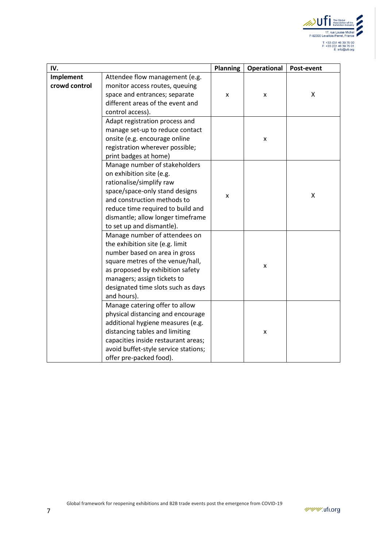

| IV.           |                                      | <b>Planning</b> | <b>Operational</b> | Post-event |
|---------------|--------------------------------------|-----------------|--------------------|------------|
| Implement     | Attendee flow management (e.g.       |                 |                    |            |
| crowd control | monitor access routes, queuing       | x               |                    |            |
|               | space and entrances; separate        |                 | x                  | X          |
|               | different areas of the event and     |                 |                    |            |
|               | control access).                     |                 |                    |            |
|               | Adapt registration process and       |                 |                    |            |
|               | manage set-up to reduce contact      |                 |                    |            |
|               | onsite (e.g. encourage online        |                 | $\pmb{\mathsf{x}}$ |            |
|               | registration wherever possible;      |                 |                    |            |
|               | print badges at home)                |                 |                    |            |
|               | Manage number of stakeholders        |                 |                    |            |
|               | on exhibition site (e.g.             |                 |                    |            |
|               | rationalise/simplify raw             |                 |                    |            |
|               | space/space-only stand designs       |                 |                    | X          |
|               | and construction methods to          | x               |                    |            |
|               | reduce time required to build and    |                 |                    |            |
|               | dismantle; allow longer timeframe    |                 |                    |            |
|               | to set up and dismantle).            |                 |                    |            |
|               | Manage number of attendees on        |                 |                    |            |
|               | the exhibition site (e.g. limit      |                 |                    |            |
|               | number based on area in gross        |                 |                    |            |
|               | square metres of the venue/hall,     |                 | x                  |            |
|               | as proposed by exhibition safety     |                 |                    |            |
|               | managers; assign tickets to          |                 |                    |            |
|               | designated time slots such as days   |                 |                    |            |
|               | and hours).                          |                 |                    |            |
|               | Manage catering offer to allow       |                 |                    |            |
|               | physical distancing and encourage    |                 |                    |            |
|               | additional hygiene measures (e.g.    |                 |                    |            |
|               | distancing tables and limiting       |                 | x                  |            |
|               | capacities inside restaurant areas;  |                 |                    |            |
|               | avoid buffet-style service stations; |                 |                    |            |
|               | offer pre-packed food).              |                 |                    |            |

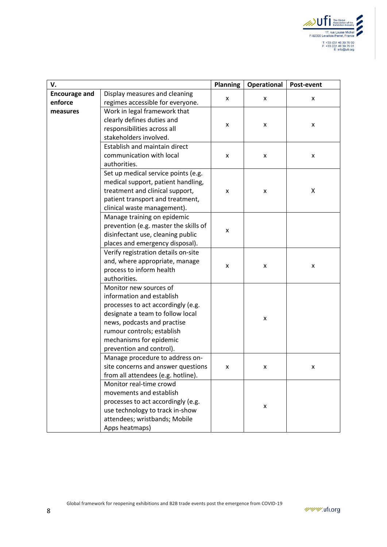

| V.                   |                                       | <b>Planning</b> | <b>Operational</b> | Post-event |
|----------------------|---------------------------------------|-----------------|--------------------|------------|
| <b>Encourage and</b> | Display measures and cleaning         |                 |                    |            |
| enforce              | regimes accessible for everyone.      | x               | x                  | x          |
| measures             | Work in legal framework that          |                 |                    |            |
|                      | clearly defines duties and            |                 |                    | x          |
|                      | responsibilities across all           | X               | X                  |            |
|                      | stakeholders involved.                |                 |                    |            |
|                      | Establish and maintain direct         |                 |                    | x          |
|                      | communication with local              | x               | x                  |            |
|                      | authorities.                          |                 |                    |            |
|                      | Set up medical service points (e.g.   |                 |                    |            |
|                      | medical support, patient handling,    |                 |                    |            |
|                      | treatment and clinical support,       | x               | x                  | X          |
|                      | patient transport and treatment,      |                 |                    |            |
|                      | clinical waste management).           |                 |                    |            |
|                      | Manage training on epidemic           |                 |                    |            |
|                      | prevention (e.g. master the skills of |                 |                    |            |
|                      | disinfectant use, cleaning public     | x               |                    |            |
|                      | places and emergency disposal).       |                 |                    |            |
|                      | Verify registration details on-site   |                 |                    |            |
|                      | and, where appropriate, manage        |                 | x                  |            |
|                      | process to inform health              | x               |                    | x          |
|                      | authorities.                          |                 |                    |            |
|                      | Monitor new sources of                |                 |                    |            |
|                      | information and establish             |                 |                    |            |
|                      | processes to act accordingly (e.g.    |                 |                    |            |
|                      | designate a team to follow local      |                 | X                  |            |
|                      | news, podcasts and practise           |                 |                    |            |
|                      | rumour controls; establish            |                 |                    |            |
|                      | mechanisms for epidemic               |                 |                    |            |
|                      | prevention and control).              |                 |                    |            |
|                      | Manage procedure to address on-       |                 |                    |            |
|                      | site concerns and answer questions    | x               | x                  | x          |
|                      | from all attendees (e.g. hotline).    |                 |                    |            |
|                      | Monitor real-time crowd               |                 |                    |            |
|                      | movements and establish               |                 |                    |            |
|                      | processes to act accordingly (e.g.    |                 |                    |            |
|                      | use technology to track in-show       |                 | x                  |            |
|                      | attendees; wristbands; Mobile         |                 |                    |            |
|                      | Apps heatmaps)                        |                 |                    |            |